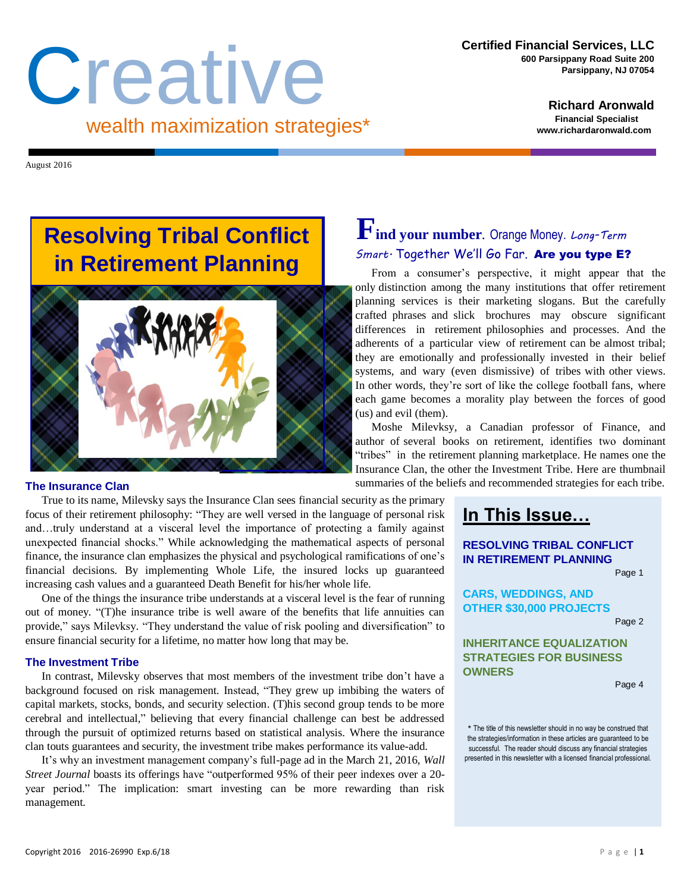# Creative wealth maximization strategies\*

**Richard Aronwald Financial Specialist www.richardaronwald.com**

August 2016

## **Resolving Tribal Conflict in Retirement Planning**



True to its name, Milevsky says the Insurance Clan sees financial security as the primary focus of their retirement philosophy: "They are well versed in the language of personal risk and…truly understand at a visceral level the importance of protecting a family against unexpected financial shocks." While acknowledging the mathematical aspects of personal finance, the insurance clan emphasizes the physical and psychological ramifications of one's financial decisions. By implementing Whole Life, the insured locks up guaranteed increasing cash values and a guaranteed Death Benefit for his/her whole life.

One of the things the insurance tribe understands at a visceral level is the fear of running out of money. "(T)he insurance tribe is well aware of the benefits that life annuities can provide," says Milevksy. "They understand the value of risk pooling and diversification" to ensure financial security for a lifetime, no matter how long that may be.

#### **The Investment Tribe**

In contrast, Milevsky observes that most members of the investment tribe don't have a background focused on risk management. Instead, "They grew up imbibing the waters of capital markets, stocks, bonds, and security selection. (T)his second group tends to be more cerebral and intellectual," believing that every financial challenge can best be addressed through the pursuit of optimized returns based on statistical analysis. Where the insurance clan touts guarantees and security, the investment tribe makes performance its value-add.

It's why an investment management company's full-page ad in the March 21, 2016, *Wall Street Journal* boasts its offerings have "outperformed 95% of their peer indexes over a 20 year period." The implication: smart investing can be more rewarding than risk management*.* 

## **Find your number***.* Orange Money. *Long-Term Smart.* Together We'll Go Far. Are you type E?

From a consumer's perspective, it might appear that the only distinction among the many institutions that offer retirement planning services is their marketing slogans. But the carefully crafted phrases and slick brochures may obscure significant differences in retirement philosophies and processes. And the adherents of a particular view of retirement can be almost tribal; they are emotionally and professionally invested in their belief systems, and wary (even dismissive) of tribes with other views. In other words, they're sort of like the college football fans, where each game becomes a morality play between the forces of good (us) and evil (them).

Moshe Milevksy, a Canadian professor of Finance, and author of several books on retirement, identifies two dominant "tribes" in the retirement planning marketplace. He names one the Insurance Clan, the other the Investment Tribe. Here are thumbnail **The Insurance Clan** summaries of the beliefs and recommended strategies for each tribe.

## **In This Issue…**

### **RESOLVING TRIBAL CONFLICT IN RETIREMENT PLANNING**

Page 1

**CARS, WEDDINGS, AND OTHER \$30,000 PROJECTS**

Page 2

#### **INHERITANCE EQUALIZATION STRATEGIES FOR BUSINESS OWNERS**

Page 4

\* The title of this newsletter should in no way be construed that the strategies/information in these articles are guaranteed to be successful. The reader should discuss any financial strategies presented in this newsletter with a licensed financial professional.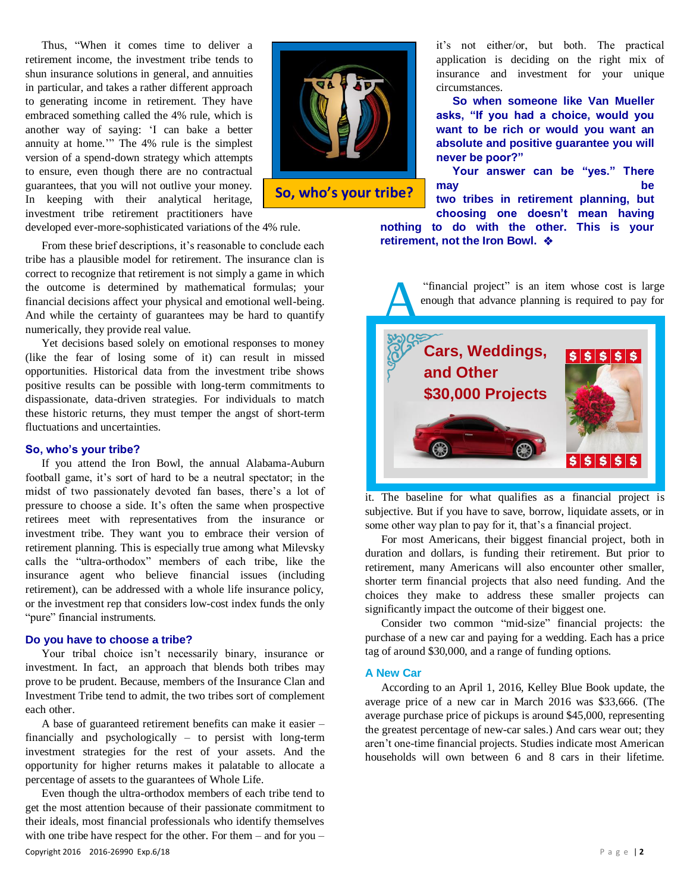Thus, "When it comes time to deliver a retirement income, the investment tribe tends to shun insurance solutions in general, and annuities in particular, and takes a rather different approach to generating income in retirement. They have embraced something called the 4% rule, which is another way of saying: 'I can bake a better annuity at home.'" The 4% rule is the simplest version of a spend-down strategy which attempts to ensure, even though there are no contractual guarantees, that you will not outlive your money. In keeping with their analytical heritage, investment tribe retirement practitioners have developed ever-more-sophisticated variations of the 4% rule.



**So, who's your tribe?**

From these brief descriptions, it's reasonable to conclude each tribe has a plausible model for retirement. The insurance clan is correct to recognize that retirement is not simply a game in which the outcome is determined by mathematical formulas; your financial decisions affect your physical and emotional well-being. And while the certainty of guarantees may be hard to quantify numerically, they provide real value.

Yet decisions based solely on emotional responses to money (like the fear of losing some of it) can result in missed opportunities. Historical data from the investment tribe shows positive results can be possible with long-term commitments to dispassionate, data-driven strategies. For individuals to match these historic returns, they must temper the angst of short-term fluctuations and uncertainties.

#### **So, who's your tribe?**

If you attend the Iron Bowl, the annual Alabama-Auburn football game, it's sort of hard to be a neutral spectator; in the midst of two passionately devoted fan bases, there's a lot of pressure to choose a side. It's often the same when prospective retirees meet with representatives from the insurance or investment tribe. They want you to embrace their version of retirement planning. This is especially true among what Milevsky calls the "ultra-orthodox" members of each tribe, like the insurance agent who believe financial issues (including retirement), can be addressed with a whole life insurance policy, or the investment rep that considers low-cost index funds the only "pure" financial instruments.

#### **Do you have to choose a tribe?**

Your tribal choice isn't necessarily binary, insurance or investment. In fact, an approach that blends both tribes may prove to be prudent. Because, members of the Insurance Clan and Investment Tribe tend to admit, the two tribes sort of complement each other.

A base of guaranteed retirement benefits can make it easier – financially and psychologically – to persist with long-term investment strategies for the rest of your assets. And the opportunity for higher returns makes it palatable to allocate a percentage of assets to the guarantees of Whole Life.

Copyright 2016 2016-26990 Exp.6/18 P a g e | **2** Even though the ultra-orthodox members of each tribe tend to get the most attention because of their passionate commitment to their ideals, most financial professionals who identify themselves with one tribe have respect for the other. For them – and for you –

it's not either/or, but both. The practical application is deciding on the right mix of insurance and investment for your unique circumstances.

**So when someone like Van Mueller asks, "If you had a choice, would you want to be rich or would you want an absolute and positive guarantee you will never be poor?"**

**Your answer can be "yes." There may be two tribes in retirement planning, but choosing one doesn't mean having nothing to do with the other. This is your retirement, not the Iron Bowl.** 

A "financial project" is an item whose cost is large enough that advance planning is required to pay for **Cars, Weddings,**   $s|s|s|s|s$ **and Other \$30,000 Projects** $s$   $s$   $s$   $s$   $s$ 

it. The baseline for what qualifies as a financial project is subjective. But if you have to save, borrow, liquidate assets, or in some other way plan to pay for it, that's a financial project.

For most Americans, their biggest financial project, both in duration and dollars, is funding their retirement. But prior to retirement, many Americans will also encounter other smaller, shorter term financial projects that also need funding. And the choices they make to address these smaller projects can significantly impact the outcome of their biggest one.

Consider two common "mid-size" financial projects: the purchase of a new car and paying for a wedding. Each has a price tag of around \$30,000, and a range of funding options.

#### **A New Car**

According to an April 1, 2016, Kelley Blue Book update, the average price of a new car in March 2016 was \$33,666. (The average purchase price of pickups is around \$45,000, representing the greatest percentage of new-car sales.) And cars wear out; they aren't one-time financial projects. Studies indicate most American households will own between 6 and 8 cars in their lifetime.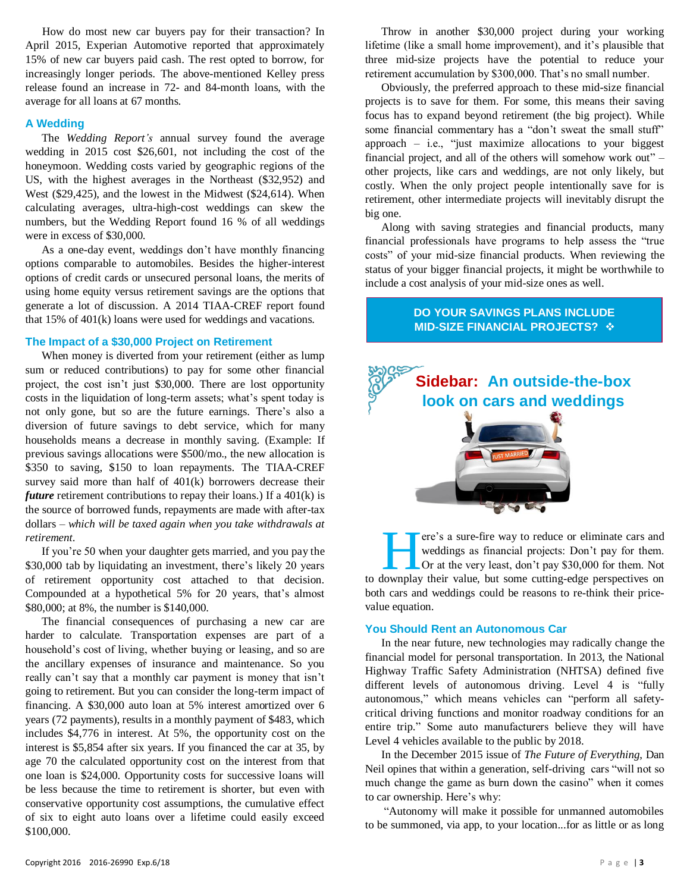How do most new car buyers pay for their transaction? In April 2015, Experian Automotive reported that approximately 15% of new car buyers paid cash. The rest opted to borrow, for increasingly longer periods. The above-mentioned Kelley press release found an increase in 72- and 84-month loans, with the average for all loans at 67 months.

#### **A Wedding**

The *Wedding Report's* annual survey found the [average](http://www.lifehealthpro.com/2015/08/04/your-financial-advisor-wants-to-know-if-youre-gay)  [wedding](http://www.lifehealthpro.com/2015/08/04/your-financial-advisor-wants-to-know-if-youre-gay) in 2015 cost \$26,601, not including the cost of the honeymoon. Wedding costs varied by geographic regions of the US, with the highest averages in the Northeast (\$32,952) and West (\$29,425), and the lowest in the Midwest (\$24,614). When calculating averages, ultra-high-cost weddings can skew the numbers, but the Wedding Report found 16 % of all weddings were in excess of \$30,000.

As a one-day event, weddings don't have monthly financing options comparable to automobiles. Besides the higher-interest options of credit cards or unsecured personal loans, the merits of using home equity versus retirement savings are the options that generate a lot of discussion. A 2014 TIAA-CREF report found that 15% of 401(k) loans were used for weddings and vacations.

#### **The Impact of a \$30,000 Project on Retirement**

When money is diverted from your retirement (either as lump sum or reduced contributions) to pay for some other financial project, the cost isn't just \$30,000. There are lost opportunity costs in the liquidation of long-term assets; what's spent today is not only gone, but so are the future earnings. There's also a diversion of future savings to debt service, which for many households means a decrease in monthly saving. (Example: If previous savings allocations were \$500/mo., the new allocation is \$350 to saving, \$150 to loan repayments. The TIAA-CREF survey said more than half of 401(k) borrowers decrease their *future* retirement contributions to repay their loans.) If a 401(k) is the source of borrowed funds, repayments are made with after-tax dollars *– which will be taxed again when you take withdrawals at retirement*.

If you're 50 when your daughter gets married, and you pay the \$30,000 tab by liquidating an investment, there's likely 20 years of retirement opportunity cost attached to that decision. Compounded at a hypothetical 5% for 20 years, that's almost \$80,000; at 8%, the number is \$140,000.

The financial consequences of purchasing a new car are harder to calculate. Transportation expenses are part of a household's cost of living, whether buying or leasing, and so are the ancillary expenses of insurance and maintenance. So you really can't say that a monthly car payment is money that isn't going to retirement. But you can consider the long-term impact of financing. A \$30,000 auto loan at 5% interest amortized over 6 years (72 payments), results in a monthly payment of \$483, which includes \$4,776 in interest. At 5%, the opportunity cost on the interest is \$5,854 after six years. If you financed the car at 35, by age 70 the calculated opportunity cost on the interest from that one loan is \$24,000. Opportunity costs for successive loans will be less because the time to retirement is shorter, but even with conservative opportunity cost assumptions, the cumulative effect of six to eight auto loans over a lifetime could easily exceed \$100,000.

Throw in another \$30,000 project during your working lifetime (like a small home improvement), and it's plausible that three mid-size projects have the potential to reduce your retirement accumulation by \$300,000. That's no small number.

Obviously, the preferred approach to these mid-size financial projects is to save for them. For some, this means their saving focus has to expand beyond retirement (the big project). While some financial commentary has a "don't sweat the small stuff" approach  $-$  i.e., "just maximize allocations to your biggest financial project, and all of the others will somehow work out" – other projects, like cars and weddings, are not only likely, but costly. When the only project people intentionally save for is retirement, other intermediate projects will inevitably disrupt the big one.

Along with saving strategies and financial products, many financial professionals have programs to help assess the "true costs" of your mid-size financial products. When reviewing the status of your bigger financial projects, it might be worthwhile to include a cost analysis of your mid-size ones as well.

#### **DO YOUR SAVINGS PLANS INCLUDE MID-SIZE FINANCIAL PROJECTS?**



ere's a sure-fire way to reduce or eliminate cars and weddings as financial projects: Don't pay for them. Or at the very least, don't pay \$30,000 for them. Not There's a sure-fire way to reduce or eliminate cars and weddings as financial projects: Don't pay for them.<br>Or at the very least, don't pay \$30,000 for them. Not to downplay their value, but some cutting-edge perspectives both cars and weddings could be reasons to re-think their pricevalue equation.

#### **You Should Rent an Autonomous Car**

In the near future, new technologies may radically change the financial model for personal transportation. In 2013, the National Highway Traffic Safety Administration (NHTSA) defined five different levels of autonomous driving. Level 4 is "fully autonomous," which means vehicles can "perform all safetycritical driving functions and monitor roadway conditions for an entire trip." Some auto manufacturers believe they will have Level 4 vehicles available to the public by 2018.

In the December 2015 issue of *The Future of Everything*, Dan Neil opines that within a generation, self-driving cars "will not so much change the game as burn down the casino" when it comes to car ownership. Here's why:

"Autonomy will make it possible for unmanned automobiles to be summoned, via app, to your location...for as little or as long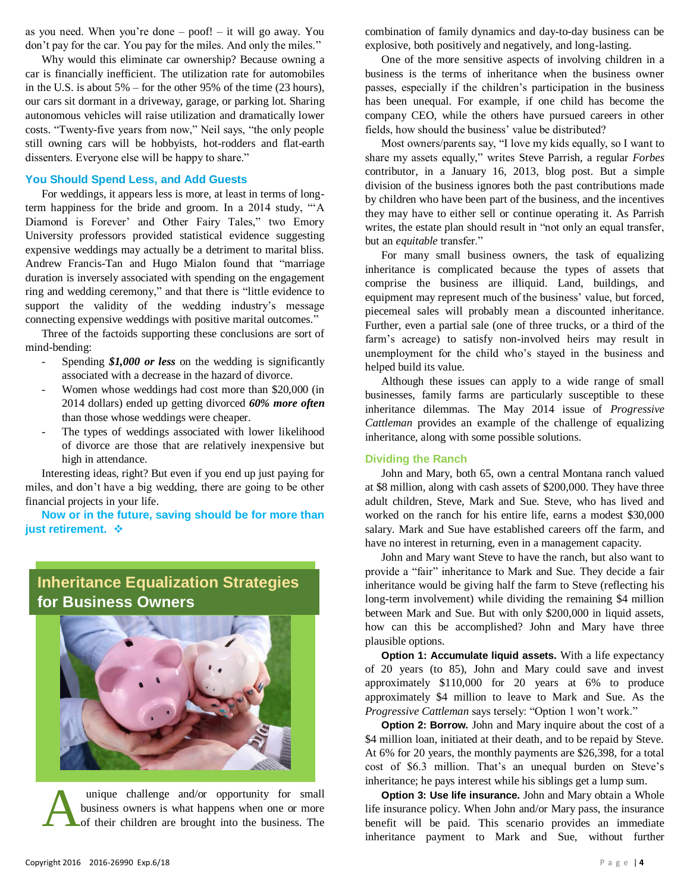as you need. When you're done – poof! – it will go away. You don't pay for the car. You pay for the miles. And only the miles."

Why would this eliminate car ownership? Because owning a car is financially inefficient. The utilization rate for automobiles in the U.S. is about 5% – for the other 95% of the time (23 hours), our cars sit dormant in a driveway, garage, or parking lot. Sharing autonomous vehicles will raise utilization and dramatically lower costs. "Twenty-five years from now," Neil says, "the only people still owning cars will be hobbyists, hot-rodders and flat-earth dissenters. Everyone else will be happy to share."

#### **You Should Spend Less, and Add Guests**

For weddings, it appears less is more, at least in terms of longterm happiness for the bride and groom. In a 2014 study, "'A Diamond is Forever' and Other Fairy Tales," two Emory University professors provided statistical evidence suggesting expensive weddings may actually be a detriment to marital bliss. Andrew Francis-Tan and Hugo Mialon found that "marriage duration is inversely associated with spending on the engagement ring and wedding ceremony," and that there is "little evidence to support the validity of the wedding industry's message connecting expensive weddings with positive marital outcomes."

Three of the factoids supporting these conclusions are sort of mind-bending:

- Spending *\$1,000 or less* on the wedding is significantly associated with a decrease in the hazard of divorce.
- Women whose weddings had cost more than \$20,000 (in 2014 dollars) ended up getting divorced *60% more often* than those whose weddings were cheaper.
- The types of weddings associated with lower likelihood of divorce are those that are relatively inexpensive but high in attendance.

Interesting ideas, right? But even if you end up just paying for miles, and don't have a big wedding, there are going to be other financial projects in your life.

**Now or in the future, saving should be for more than just retirement.**

## **Inheritance Equalization Strategies for Business Owners**



unique challenge and/or opportunity for small business owners is what happens when one or more of their children are brought into the business. The

One of the more sensitive aspects of involving children in a business is the terms of inheritance when the business owner passes, especially if the children's participation in the business has been unequal. For example, if one child has become the company CEO, while the others have pursued careers in other fields, how should the business' value be distributed?

Most owners/parents say, "I love my kids equally, so I want to share my assets equally," writes Steve Parrish, a regular *Forbes* contributor, in a January 16, 2013, blog post. But a simple division of the business ignores both the past contributions made by children who have been part of the business, and the incentives they may have to either sell or continue operating it. As Parrish writes, the estate plan should result in "not only an equal transfer, but an *equitable* transfer."

For many small business owners, the task of equalizing inheritance is complicated because the types of assets that comprise the business are illiquid. Land, buildings, and equipment may represent much of the business' value, but forced, piecemeal sales will probably mean a discounted inheritance. Further, even a partial sale (one of three trucks, or a third of the farm's acreage) to satisfy non-involved heirs may result in unemployment for the child who's stayed in the business and helped build its value.

Although these issues can apply to a wide range of small businesses, family farms are particularly susceptible to these inheritance dilemmas. The May 2014 issue of *Progressive Cattleman* provides an example of the challenge of equalizing inheritance, along with some possible solutions.

#### **Dividing the Ranch**

John and Mary, both 65, own a central Montana ranch valued at \$8 million, along with cash assets of \$200,000. They have three adult children, Steve, Mark and Sue. Steve, who has lived and worked on the ranch for his entire life, earns a modest \$30,000 salary. Mark and Sue have established careers off the farm, and have no interest in returning, even in a management capacity.

John and Mary want Steve to have the ranch, but also want to provide a "fair" inheritance to Mark and Sue. They decide a fair inheritance would be giving half the farm to Steve (reflecting his long-term involvement) while dividing the remaining \$4 million between Mark and Sue. But with only \$200,000 in liquid assets, how can this be accomplished? John and Mary have three plausible options.

**Option 1: Accumulate liquid assets.** With a life expectancy of 20 years (to 85), John and Mary could save and invest approximately \$110,000 for 20 years at 6% to produce approximately \$4 million to leave to Mark and Sue. As the *Progressive Cattleman* says tersely: "Option 1 won't work."

**Option 2: Borrow.** John and Mary inquire about the cost of a \$4 million loan, initiated at their death, and to be repaid by Steve. At 6% for 20 years, the monthly payments are \$26,398, for a total cost of \$6.3 million. That's an unequal burden on Steve's inheritance; he pays interest while his siblings get a lump sum.

**Option 3: Use life insurance.** John and Mary obtain a Whole life insurance policy. When John and/or Mary pass, the insurance unique challenge and/or opportunity for small<br>business owners is what happens when one or more<br>of their children are brought into the business. The<br>inheritance policy. When John and/or Mary pass, the insurance<br>inheritance inheritance payment to Mark and Sue, without further